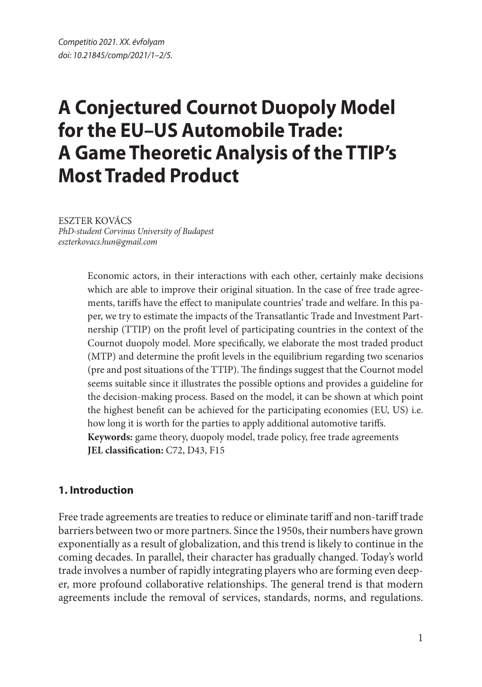# **A Conjectured Cournot Duopoly Model for the EU–US Automobile Trade: A Game Theoretic Analysis of the TTIP's Most Traded Product**

ESZTER KOVÁCS *PhD-student Corvinus University of Budapest eszterkovacs.hun@gmail.com*

> Economic actors, in their interactions with each other, certainly make decisions which are able to improve their original situation. In the case of free trade agreements, tariffs have the effect to manipulate countries' trade and welfare. In this paper, we try to estimate the impacts of the Transatlantic Trade and Investment Partnership (TTIP) on the profit level of participating countries in the context of the Cournot duopoly model. More specifically, we elaborate the most traded product (MTP) and determine the profit levels in the equilibrium regarding two scenarios (pre and post situations of the TTIP). The findings suggest that the Cournot model seems suitable since it illustrates the possible options and provides a guideline for the decision-making process. Based on the model, it can be shown at which point the highest benefit can be achieved for the participating economies (EU, US) i.e. how long it is worth for the parties to apply additional automotive tariffs. **Keywords:** game theory, duopoly model, trade policy, free trade agreements **JEL classification:** C72, D43, F15

### **1. Introduction**

Free trade agreements are treaties to reduce or eliminate tariff and non-tariff trade barriers between two or more partners. Since the 1950s, their numbers have grown exponentially as a result of globalization, and this trend is likely to continue in the coming decades. In parallel, their character has gradually changed. Today's world trade involves a number of rapidly integrating players who are forming even deeper, more profound collaborative relationships. The general trend is that modern agreements include the removal of services, standards, norms, and regulations.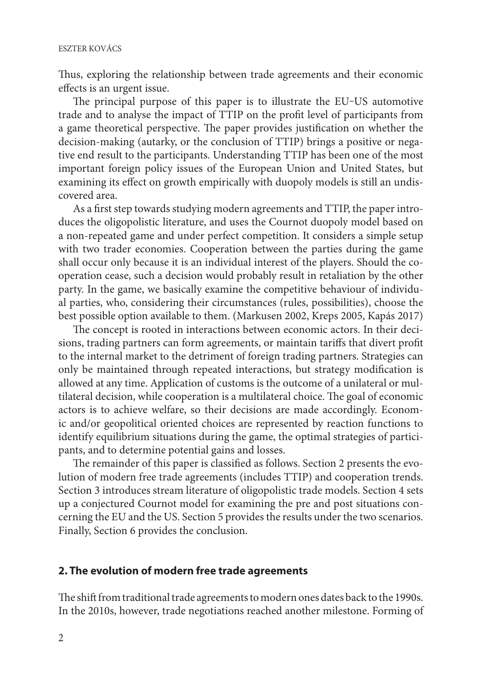Thus, exploring the relationship between trade agreements and their economic effects is an urgent issue.

The principal purpose of this paper is to illustrate the EU-US automotive trade and to analyse the impact of TTIP on the profit level of participants from a game theoretical perspective. The paper provides justification on whether the decision-making (autarky, or the conclusion of TTIP) brings a positive or negative end result to the participants. Understanding TTIP has been one of the most important foreign policy issues of the European Union and United States, but examining its effect on growth empirically with duopoly models is still an undiscovered area.

As a first step towards studying modern agreements and TTIP, the paper introduces the oligopolistic literature, and uses the Cournot duopoly model based on a non-repeated game and under perfect competition. It considers a simple setup with two trader economies. Cooperation between the parties during the game shall occur only because it is an individual interest of the players. Should the cooperation cease, such a decision would probably result in retaliation by the other party. In the game, we basically examine the competitive behaviour of individual parties, who, considering their circumstances (rules, possibilities), choose the best possible option available to them. (Markusen 2002, Kreps 2005, Kapás 2017)

The concept is rooted in interactions between economic actors. In their decisions, trading partners can form agreements, or maintain tariffs that divert profit to the internal market to the detriment of foreign trading partners. Strategies can only be maintained through repeated interactions, but strategy modification is allowed at any time. Application of customs is the outcome of a unilateral or multilateral decision, while cooperation is a multilateral choice. The goal of economic actors is to achieve welfare, so their decisions are made accordingly. Economic and/or geopolitical oriented choices are represented by reaction functions to identify equilibrium situations during the game, the optimal strategies of participants, and to determine potential gains and losses.

The remainder of this paper is classified as follows. Section 2 presents the evolution of modern free trade agreements (includes TTIP) and cooperation trends. Section 3 introduces stream literature of oligopolistic trade models. Section 4 sets up a conjectured Cournot model for examining the pre and post situations concerning the EU and the US. Section 5 provides the results under the two scenarios. Finally, Section 6 provides the conclusion.

#### **2. The evolution of modern free trade agreements**

The shift from traditional trade agreements to modern ones dates back to the 1990s. In the 2010s, however, trade negotiations reached another milestone. Forming of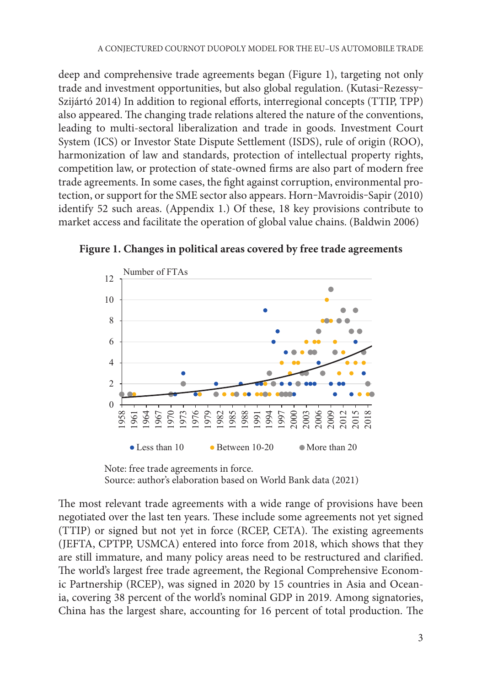deep and comprehensive trade agreements began (Figure 1), targeting not only trade and investment opportunities, but also global regulation. (Kutasi-Rezessy-Szijártó 2014) In addition to regional efforts, interregional concepts (TTIP, TPP) also appeared. The changing trade relations altered the nature of the conventions, leading to multi-sectoral liberalization and trade in goods. Investment Court System (ICS) or Investor State Dispute Settlement (ISDS), rule of origin (ROO), harmonization of law and standards, protection of intellectual property rights, competition law, or protection of state-owned firms are also part of modern free trade agreements. In some cases, the fight against corruption, environmental protection, or support for the SME sector also appears. Horn-Mavroidis-Sapir (2010) identify 52 such areas. (Appendix 1.) Of these, 18 key provisions contribute to market access and facilitate the operation of global value chains. (Baldwin 2006)



**Figure 1. Changes in political areas covered by free trade agreements Figure 1. Changes in political areas covered by free trade agreements**

Note: free trade agreements in force. *Note: free trade agreements in force.* Source: author's elaboration based on World Bank data (2021) *Source: author's elaboration based on World Bank data (2021)*

The most relevant trade agreements with a wide range of provisions have been negotiated over the last ten years. These include some agreements not yet signed (TTIP) or signed but not yet in force (RCEP, CETA). The existing agreements (JEFTA, CPTPP, USMCA) entered into force from 2018, which shows that they (TETTI, CTIP), CONCIL, entered the force from 2010, which shows that they are still immature, and many policy areas need to be restructured and clarified. The world's largest free trade agreement, the Regional Comprehensive Economic Partnership (RCEP), was signed in 2020 by 15 countries in Asia and Oceania, covering 38 percent of the world's nominal GDP in 2019. Among signatories, China has the largest share, accounting for 16 percent of total production. The  $\epsilon$  sun immature, and many poncy areas need to be restructured and clarined.  $\sim$  06 percent of total production. The United States–16 percent of total production. The United States–16 percent of total production. The United States–16 percent of the United States–16 percent of the United States–16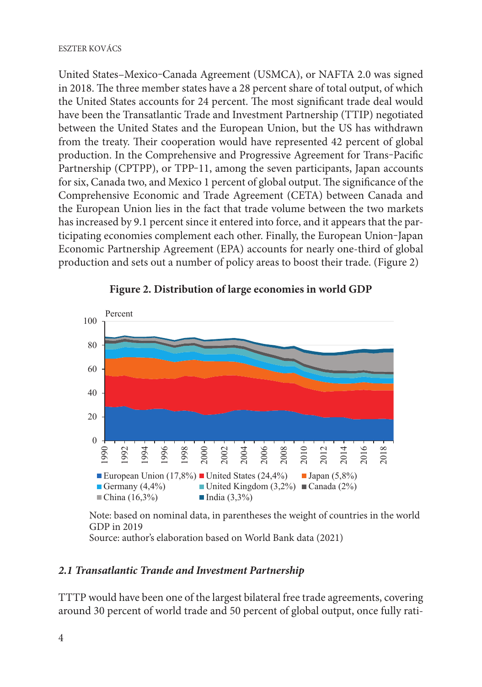United States–Mexico–Canada Agreement (USMCA), or NAFTA 2.0 was signed in 2018. The three member states have a 28 percent share of total output, of which the United States accounts for 24 percent. The most significant trade deal would have been the Transatlantic Trade and Investment Partnership (TTIP) negotiated between the United States and the European Union, but the US has withdrawn from the treaty. Their cooperation would have represented 42 percent of global production. In the Comprehensive and Progressive Agreement for Trans-Pacific Partnership (CPTPP), or TPP-11, among the seven participants, Japan accounts for six, Canada two, and Mexico 1 percent of global output. The significance of the Let any summarized they and Tradition I person of groom on pair the eigenment of the Comprehensive Economic and Trade Agreement (CETA) between Canada and the European Union lies in the fact that trade volume between the two markets has increased by 9.1 percent since it entered into force, and it appears that the participating economies complement each other. Finally, the European Union-Japan Economic Partnership Agreement (EPA) accounts for nearly one-third of global production and sets out a number of policy areas to boost their trade. (Figure 2) factor that the two markets has increased by  $\frac{1}{2}$  percent since it is expected by  $\frac{1}{2}$  percent since it is expected by  $\frac{1}{2}$  percent since it is expected by  $\frac{1}{2}$  percent since it is expected by  $\frac{1}{2}$ e European Omon hes in the fact that trade volume between the two marke



**Figure 2. Distribution of large economies in world GDP Figure 2. Distribution of large economies in world GDP**

 Note: based on nominal data, in parentheses the weight of countries in the world *Note: based on nominal data, in parentheses the weight of countries in the world GDP in 2019* GDP in 2019 Source: author's elaboration based on World Bank data (2021) *Source: author's elaboration based on World Bank data (2021)*

## *2.1 Transatlantic Trande and Investment Partnership* **2.1 Transatlantic Trande and Investment Partnership**

TTTP would have been one of the largest bilateral free trade agreements, covering TTTP would have been one of the largest bilateral free trade agreements, covering around 30 percent of world trade and 50 percent of global output, once fully ratiby the two particles will trump the two particles of growing the rest party in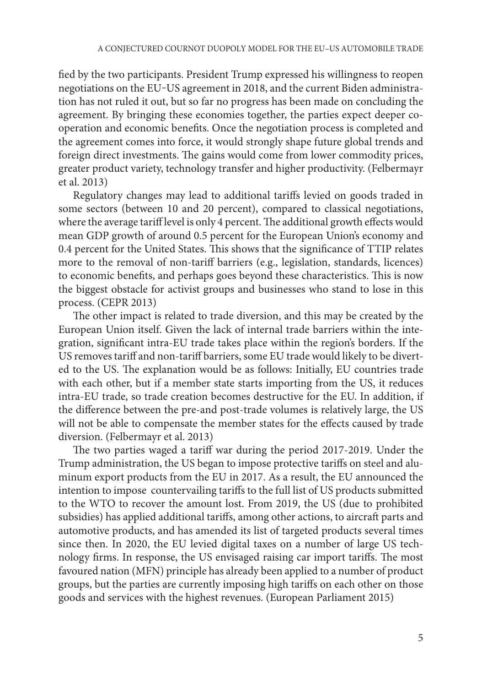fied by the two participants. President Trump expressed his willingness to reopen negotiations on the EU–US agreement in 2018, and the current Biden administration has not ruled it out, but so far no progress has been made on concluding the agreement. By bringing these economies together, the parties expect deeper cooperation and economic benefits. Once the negotiation process is completed and the agreement comes into force, it would strongly shape future global trends and foreign direct investments. The gains would come from lower commodity prices, greater product variety, technology transfer and higher productivity. (Felbermayr et al. 2013)

Regulatory changes may lead to additional tariffs levied on goods traded in some sectors (between 10 and 20 percent), compared to classical negotiations, where the average tariff level is only 4 percent. The additional growth effects would mean GDP growth of around 0.5 percent for the European Union's economy and 0.4 percent for the United States. This shows that the significance of TTIP relates more to the removal of non-tariff barriers (e.g., legislation, standards, licences) to economic benefits, and perhaps goes beyond these characteristics. This is now the biggest obstacle for activist groups and businesses who stand to lose in this process. (CEPR 2013)

The other impact is related to trade diversion, and this may be created by the European Union itself. Given the lack of internal trade barriers within the integration, significant intra-EU trade takes place within the region's borders. If the US removes tariff and non-tariff barriers, some EU trade would likely to be diverted to the US. The explanation would be as follows: Initially, EU countries trade with each other, but if a member state starts importing from the US, it reduces intra-EU trade, so trade creation becomes destructive for the EU. In addition, if the difference between the pre-and post-trade volumes is relatively large, the US will not be able to compensate the member states for the effects caused by trade diversion. (Felbermayr et al. 2013)

The two parties waged a tariff war during the period 2017-2019. Under the Trump administration, the US began to impose protective tariffs on steel and aluminum export products from the EU in 2017. As a result, the EU announced the intention to impose countervailing tariffs to the full list of US products submitted to the WTO to recover the amount lost. From 2019, the US (due to prohibited subsidies) has applied additional tariffs, among other actions, to aircraft parts and automotive products, and has amended its list of targeted products several times since then. In 2020, the EU levied digital taxes on a number of large US technology firms. In response, the US envisaged raising car import tariffs. The most favoured nation (MFN) principle has already been applied to a number of product groups, but the parties are currently imposing high tariffs on each other on those goods and services with the highest revenues. (European Parliament 2015)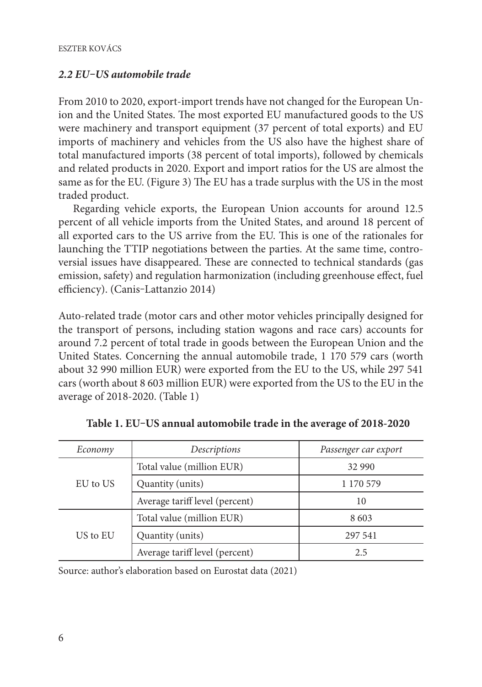### *2.2 EU‒US automobile trade*

From 2010 to 2020, export-import trends have not changed for the European Union and the United States. The most exported EU manufactured goods to the US were machinery and transport equipment (37 percent of total exports) and EU imports of machinery and vehicles from the US also have the highest share of total manufactured imports (38 percent of total imports), followed by chemicals and related products in 2020. Export and import ratios for the US are almost the same as for the EU. (Figure 3) The EU has a trade surplus with the US in the most traded product.

Regarding vehicle exports, the European Union accounts for around 12.5 percent of all vehicle imports from the United States, and around 18 percent of all exported cars to the US arrive from the EU. This is one of the rationales for launching the TTIP negotiations between the parties. At the same time, controversial issues have disappeared. These are connected to technical standards (gas emission, safety) and regulation harmonization (including greenhouse effect, fuel efficiency). (Canis-Lattanzio 2014)

Auto-related trade (motor cars and other motor vehicles principally designed for the transport of persons, including station wagons and race cars) accounts for around 7.2 percent of total trade in goods between the European Union and the United States. Concerning the annual automobile trade, 1 170 579 cars (worth about 32 990 million EUR) were exported from the EU to the US, while 297 541 cars (worth about 8 603 million EUR) were exported from the US to the EU in the average of 2018-2020. (Table 1)

| Descriptions<br>Economy |                                | Passenger car export |
|-------------------------|--------------------------------|----------------------|
|                         | Total value (million EUR)      | 32 990               |
| EU to US                | Quantity (units)               | 1 170 579            |
|                         | Average tariff level (percent) | 10                   |
|                         | Total value (million EUR)      | 8603                 |
| US to EU                | Quantity (units)               | 297 541              |
|                         | Average tariff level (percent) | 2.5                  |

**Table 1. EU‒US annual automobile trade in the average of 2018-2020**

Source: author's elaboration based on Eurostat data (2021)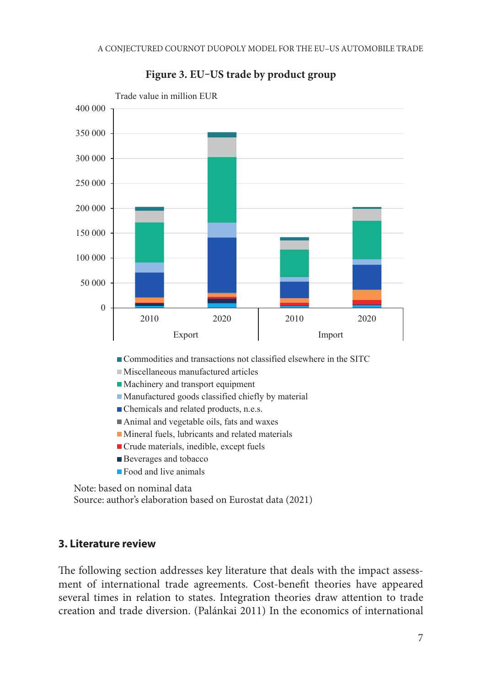

**Figure 3. EU‒US trade by product group**  $F = 3.5$  **FIUTE**  $\frac{1}{2}$ 

Commodities and transactions not classified elsewhere in the SITC

- Miscellaneous manufactured articles
- Machinery and transport equipment
- Manufactured goods classified chiefly by material
- Chemicals and related products, n.e.s.
- Animal and vegetable oils, fats and waxes
- Mineral fuels, lubricants and related materials
- Crude materials, inedible, except fuels
- Beverages and tobacco
- **Food and live animals**

 Note: based on nominal data *Note: based on nominal data* Source: author's elaboration based on Eurostat data (2021) *Source: author's elaboration based on Eurostat data (2021)*

#### **3. Literature review** Auto-related trade (motor cars and other motor vehicles principally designed for the

The following section addresses key literature that deals with the impact assessment of international trade agreements. Cost-benefit theories have appeared several times in relation to states. Integration theories draw attention to trade creation and trade diversion. (Palánkai 2011) In the economics of international transport of persons, including station wagons and race cars) accounts for around 7.2  $\pm$ The following section addresses key literature that deals with the impact assess-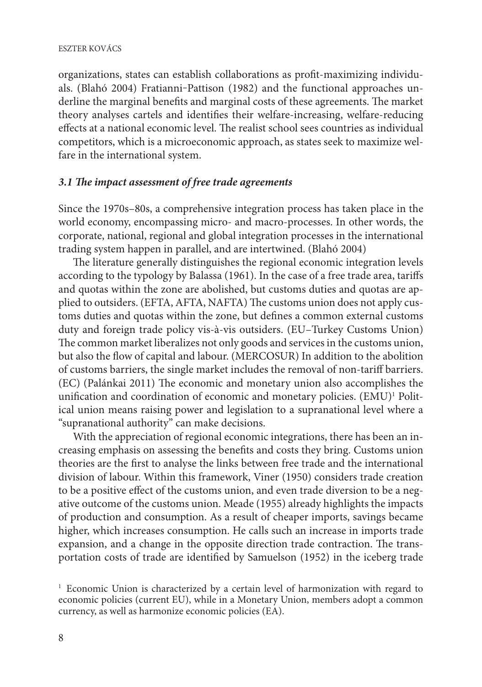#### ESZTER KOVÁCS

organizations, states can establish collaborations as profit-maximizing individuals. (Blahó 2004) Fratianni-Pattison (1982) and the functional approaches underline the marginal benefits and marginal costs of these agreements. The market theory analyses cartels and identifies their welfare-increasing, welfare-reducing effects at a national economic level. The realist school sees countries as individual competitors, which is a microeconomic approach, as states seek to maximize welfare in the international system.

#### *3.1 The impact assessment of free trade agreements*

Since the 1970s–80s, a comprehensive integration process has taken place in the world economy, encompassing micro- and macro-processes. In other words, the corporate, national, regional and global integration processes in the international trading system happen in parallel, and are intertwined. (Blahó 2004)

The literature generally distinguishes the regional economic integration levels according to the typology by Balassa (1961). In the case of a free trade area, tariffs and quotas within the zone are abolished, but customs duties and quotas are applied to outsiders. (EFTA, AFTA, NAFTA) The customs union does not apply customs duties and quotas within the zone, but defines a common external customs duty and foreign trade policy vis-à-vis outsiders. (EU–Turkey Customs Union) The common market liberalizes not only goods and services in the customs union, but also the flow of capital and labour. (MERCOSUR) In addition to the abolition of customs barriers, the single market includes the removal of non-tariff barriers. (EC) (Palánkai 2011) The economic and monetary union also accomplishes the unification and coordination of economic and monetary policies. (EMU)<sup>1</sup> Political union means raising power and legislation to a supranational level where a "supranational authority" can make decisions.

With the appreciation of regional economic integrations, there has been an increasing emphasis on assessing the benefits and costs they bring. Customs union theories are the first to analyse the links between free trade and the international division of labour. Within this framework, Viner (1950) considers trade creation to be a positive effect of the customs union, and even trade diversion to be a negative outcome of the customs union. Meade (1955) already highlights the impacts of production and consumption. As a result of cheaper imports, savings became higher, which increases consumption. He calls such an increase in imports trade expansion, and a change in the opposite direction trade contraction. The transportation costs of trade are identified by Samuelson (1952) in the iceberg trade

<sup>&</sup>lt;sup>1</sup> Economic Union is characterized by a certain level of harmonization with regard to economic policies (current EU), while in a Monetary Union, members adopt a common currency, as well as harmonize economic policies (EA).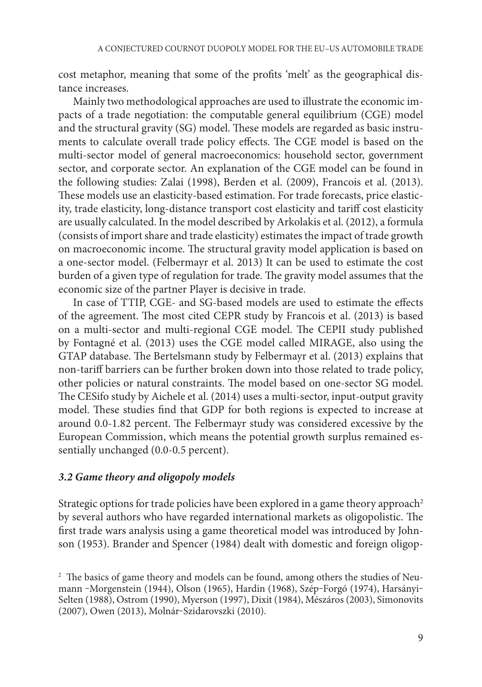cost metaphor, meaning that some of the profits 'melt' as the geographical distance increases.

Mainly two methodological approaches are used to illustrate the economic impacts of a trade negotiation: the computable general equilibrium (CGE) model and the structural gravity (SG) model. These models are regarded as basic instruments to calculate overall trade policy effects. The CGE model is based on the multi-sector model of general macroeconomics: household sector, government sector, and corporate sector. An explanation of the CGE model can be found in the following studies: Zalai (1998), Berden et al. (2009), Francois et al. (2013). These models use an elasticity-based estimation. For trade forecasts, price elasticity, trade elasticity, long-distance transport cost elasticity and tariff cost elasticity are usually calculated. In the model described by Arkolakis et al. (2012), a formula (consists of import share and trade elasticity) estimates the impact of trade growth on macroeconomic income. The structural gravity model application is based on a one-sector model. (Felbermayr et al. 2013) It can be used to estimate the cost burden of a given type of regulation for trade. The gravity model assumes that the economic size of the partner Player is decisive in trade.

In case of TTIP, CGE- and SG-based models are used to estimate the effects of the agreement. The most cited CEPR study by Francois et al. (2013) is based on a multi-sector and multi-regional CGE model. The CEPII study published by Fontagné et al. (2013) uses the CGE model called MIRAGE, also using the GTAP database. The Bertelsmann study by Felbermayr et al. (2013) explains that non-tariff barriers can be further broken down into those related to trade policy, other policies or natural constraints. The model based on one-sector SG model. The CESifo study by Aichele et al. (2014) uses a multi-sector, input-output gravity model. These studies find that GDP for both regions is expected to increase at around 0.0-1.82 percent. The Felbermayr study was considered excessive by the European Commission, which means the potential growth surplus remained essentially unchanged (0.0-0.5 percent).

#### *3.2 Game theory and oligopoly models*

Strategic options for trade policies have been explored in a game theory approach<sup>2</sup> by several authors who have regarded international markets as oligopolistic. The first trade wars analysis using a game theoretical model was introduced by Johnson (1953). Brander and Spencer (1984) dealt with domestic and foreign oligop-

<sup>2</sup> The basics of game theory and models can be found, among others the studies of Neumann -Morgenstein (1944), Olson (1965), Hardin (1968), Szép-Forgó (1974), Harsányi-Selten (1988), Ostrom (1990), Myerson (1997), Dixit (1984), Mészáros (2003), Simonovits (2007), Owen (2013), Molnár‒Szidarovszki (2010).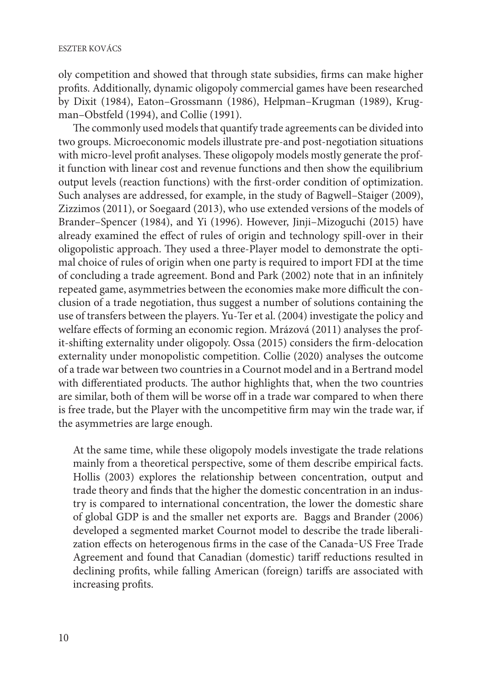oly competition and showed that through state subsidies, firms can make higher profits. Additionally, dynamic oligopoly commercial games have been researched by Dixit (1984), Eaton–Grossmann (1986), Helpman–Krugman (1989), Krugman–Obstfeld (1994), and Collie (1991).

The commonly used models that quantify trade agreements can be divided into two groups. Microeconomic models illustrate pre-and post-negotiation situations with micro-level profit analyses. These oligopoly models mostly generate the profit function with linear cost and revenue functions and then show the equilibrium output levels (reaction functions) with the first-order condition of optimization. Such analyses are addressed, for example, in the study of Bagwell–Staiger (2009), Zizzimos (2011), or Soegaard (2013), who use extended versions of the models of Brander–Spencer (1984), and Yi (1996). However, Jinji–Mizoguchi (2015) have already examined the effect of rules of origin and technology spill-over in their oligopolistic approach. They used a three-Player model to demonstrate the optimal choice of rules of origin when one party is required to import FDI at the time of concluding a trade agreement. Bond and Park (2002) note that in an infinitely repeated game, asymmetries between the economies make more difficult the conclusion of a trade negotiation, thus suggest a number of solutions containing the use of transfers between the players. Yu-Ter et al. (2004) investigate the policy and welfare effects of forming an economic region. Mrázová (2011) analyses the profit-shifting externality under oligopoly. Ossa (2015) considers the firm-delocation externality under monopolistic competition. Collie (2020) analyses the outcome of a trade war between two countries in a Cournot model and in a Bertrand model with differentiated products. The author highlights that, when the two countries are similar, both of them will be worse off in a trade war compared to when there is free trade, but the Player with the uncompetitive firm may win the trade war, if the asymmetries are large enough.

At the same time, while these oligopoly models investigate the trade relations mainly from a theoretical perspective, some of them describe empirical facts. Hollis (2003) explores the relationship between concentration, output and trade theory and finds that the higher the domestic concentration in an industry is compared to international concentration, the lower the domestic share of global GDP is and the smaller net exports are. Baggs and Brander (2006) developed a segmented market Cournot model to describe the trade liberalization effects on heterogenous firms in the case of the Canada-US Free Trade Agreement and found that Canadian (domestic) tariff reductions resulted in declining profits, while falling American (foreign) tariffs are associated with increasing profits.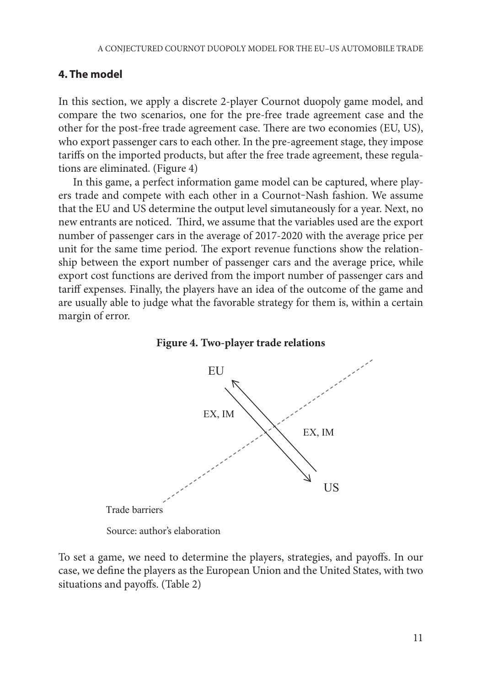#### **4. The model** compare the two scenarios, one for the pre-free trade agreement case agreement case agreement case and the other for the post-free trade agreement case. There are two economies (EU, US), who exports (EU, US), who exponent case  $\mathbb{E}[\mathbf{E}(\mathbf{X})]$

In this section, we apply a discrete 2-player Cournot duopoly game model, and compare the two scenarios, one for the pre-free trade agreement case and the other for the post-free trade agreement case. There are two economies (EU, US), who export passenger cars to each other. In the pre-agreement stage, they impose tariffs on the imported products, but after the free trade agreement, these regula-<br>tions are eliminated. (Figure 4) tions are eliminated. (Figure 4)

In this game, a perfect information game model can be captured, where play-<br>In this game, a perfect information game model can be captured, where play-In this gaine, a perfect information gaine moder can be captured, where pay<br>ers trade and compete with each other in a Cournot–Nash fashion. We assume that the EU and US determine the output level simutaneously for a year. Next, no have the ground of a determine the expansion embandance and year recent, i.e.  $\mu$ number of passenger cars in the average of 2017-2020 with the average price per number of passenger cars in the average of 2017-2020 with the average price per unit for the same time period. The export revenue functions show the relationship between the export number of passenger cars and the average price, while export cost functions are derived from the import number of passenger cars and tariff expenses. Finally, the players have an idea of the outcome of the game and are usually able to judge what the favorable strategy for them is, within a certain margin of error.



**Figure 4. Two-player trade relations**

Source: author's elaboration *Source: author's elaboration*

To set a game, we need to determine the players, strategies, and payoffs. In our case, we define the players as the European Union and the United States, with two situations and payoffs. (Table 2)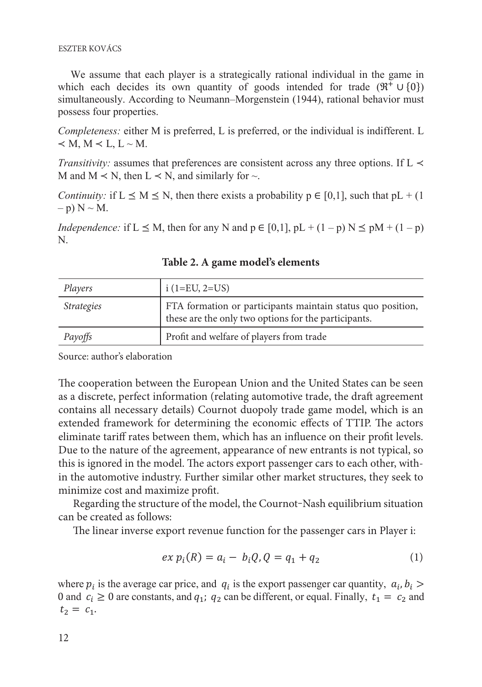ESZTER KOVÁCS  $\frac{1}{2}$ 

We assume that each player is a strategically rational individual in the game in<br> **Complete Strategies** which each decides its own quantity of goods intended for trade  $(\mathbb{R}^+ \cup \{0\})$ which each declies its own quantity of goods intended for trade  $(A \cup \{0\})$  simultaneously. According to Neumann–Morgenstein (1944), rational behavior must possess four properties.

*Completeness:* either M is preferred, L is preferred, or the individual is indifferent. L  $\prec M, M \prec L, L \sim M.$ 

*Transitivity:* assumes that preferences are consistent across any three options. If L  $\prec$ M and  $M \le N$ , then  $L \le N$ , and similarly for  $\sim$ .

*Continuity:* if  $L \le M \le N$ , then there exists a probability  $p \in [0,1]$ , such that  $pL + (1, 1)$  $-$  p)  $N \sim M$ .

*Independence:* if  $L \leq M$ , then for any N and  $p \in [0,1]$ ,  $pL + (1-p)N \leq pM + (1-p)$ N. **Table 2. A game model's elements**

| Players           | $i$ (1=EU, 2=US)                                                                                                    |
|-------------------|---------------------------------------------------------------------------------------------------------------------|
| <i>Strategies</i> | FTA formation or participants maintain status quo position,<br>these are the only two options for the participants. |
| Payoffs           | Profit and welfare of players from trade                                                                            |

**Table 2. A game model's elements** 

Source: author's elaboration *Payoffs* Profit and welfare of players from trade

The cooperation between the European Union and the United States can be seen as a discrete, perfect information (relating automotive trade, the draft agreement contains all necessary details) Cournot duopoly trade game model, which is an  $\tilde{f}$ extended framework for determining the economic effects of TTIP. The actors eliminate tariff rates between them, which has an influence on their profit levels. Due to the nature of the agreement, appearance of new entrants is not typical, so this is ignored in the model. The actors export passenger cars to each other, within the automotive industry. Further similar other market structures, they seek to minimize cost and maximize profit. *Source: author's elaboration* The cooperation between the European Union and the United States can be seen as eliminate tariff rates between them, which has an influence on their profit levels. and cooperation between the Laropean Union and the United States can be seen as a discrete, perfect information (relating automotive trade, the draft agreement extended framework for determining the economic effects of 1 infl. The actors

Regarding the structure of the model, the Cournot-Nash equilibrium situation regarding the structure.

The linear inverse export revenue function for the passenger cars in Player i:

$$
ex p_i(R) = a_i - b_i Q, Q = q_1 + q_2 \tag{1}
$$

0 and  $c_i \ge 0$  are constants, and  $q_1$ ;  $q_2$  can be different, or equal. Finally,  $t_1 = c_2$  and where  $p_i$  is the average car price, and  $q_i$  is the export passenger car quantity,  $a_i, b_i$  >  $t_2 = c_1$ .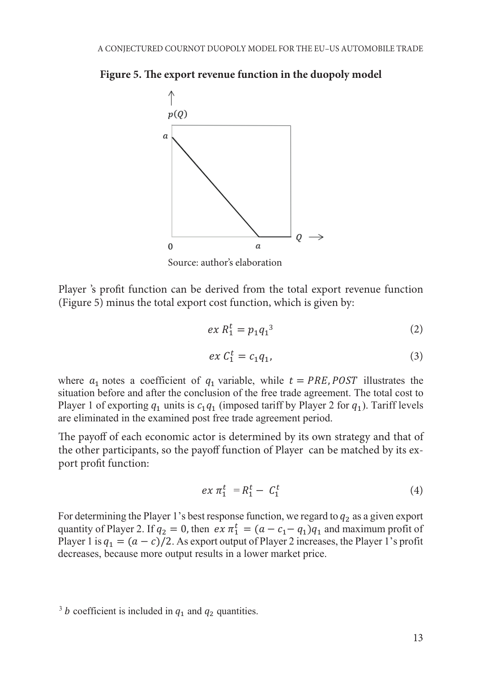**Figure 5. The export revenue function in the duopoly model Figure 5. The export revenue function in the duopoly model**



Player 's profit function can be derived from the total export revenue function (Figure 5) minus the total export cost function, which is given by:  $\mathbf{P}$ 

$$
ex R_1^t = p_1 q_1^3 \tag{2}
$$

$$
ex C_1^t = c_1 q_1,\tag{3}
$$

where  $a_1$  notes a coefficient of  $q_1$  variable, while  $t = PRE, POST$  illustrates the situation before and after the conclusion of the free trade agreement. The total cost to where  $u_1$  holes a coefficient of  $q_1$  variable, while  $t = F\Lambda E$ ,  $FOSI$  inustrates the situation before and after the conclusion of the free trade agreement. The total cost to Player 1 of exporting  $q_1$  units is  $c_1q_1$  (imposed tariff by Player 2 for  $q_1$ ). Tariff levels rayer 1 or exporting  $q_1$  units is  $c_1q_1$  (in posed tariff by 1 layer 2 for  $q_1$ ). Tariff<br>are eliminated in the examined post free trade agreement period. are eliminated in the examined post free trade agreement period.

The payoff of each economic actor is determined by its own strategy and The payoff of each economic actor is determined by its own strategy and that of<br>the other participants, so the payoff function of Player can be matched by its ex-<br>nort profit function: port profit function: The payoff of each economic actor is determined by its own strategy and that of<br>the other participants, so the payoff function of Player, can be matched by its ex Port profit function:<br>
<u>Player</u> 2 for 11 (in possible by Player 2 for 1). The player 2 for 10 for 10 for 10 for 10 for 10 for 10 for 10 for 10 for 10 for 10 for 10 for 10 for 10 for 10 for 10 for 10 for 10 for 10 for 10 fo

$$
ex\ \pi_1^t\ = R_1^t - \ C_1^t \tag{4}
$$

For determining the Player 1's best response function, we regard to  $q_2$  as a given export  $\ddot{\theta}$ quantity of Player 2. If  $q_2 = 0$ , then  $ex \pi_1^t = (a - c_1 - q_1)q_1$  and maximum profit of Player 1 is  $q_1 = (a - c)/2$ . As export output of Player 2 increases, the Player 1's profit decreases, because more output results in a lower market price.

<sup>&</sup>lt;sup>3</sup> *b* coefficient is included in  $q_1$  and  $q_2$  quantities.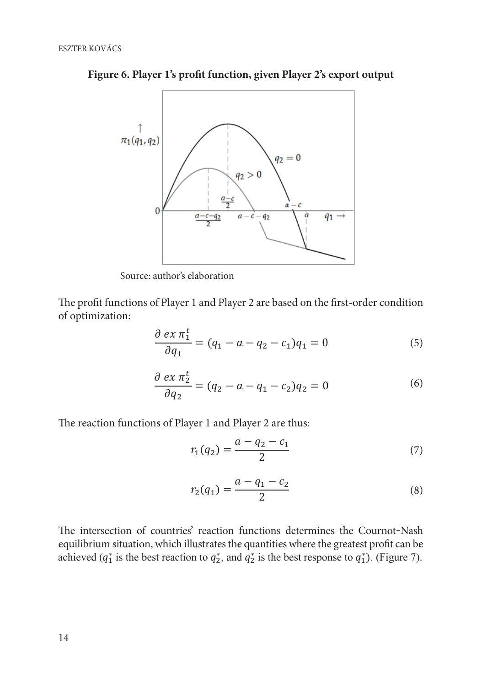

**Figure 6. Player 1's profit function, given Player 2's export output Figure 6. Player 1's profit function, given Player 2's export output**

Source: author's elaboration *Source: author's elaboration*

The profit functions of Player 1 and Player 2 are based on the first-order condition of optimization: optimization:  $\mathcal{L}_{\text{P}}$ The profit functions of Player  $P$  and Player 2 are based on the first-order conditions on the first-order conditions of Player conditions of Player conditions of Player conditions of Player conditions of Player condition  $\sum_{i=1}^{n}$ The profit functions of Player 1 and Player 2 are based on the first-order condition of optimization.

$$
\frac{\partial \, ex \, \pi_1^t}{\partial q_1} = (q_1 - a - q_2 - c_1) q_1 = 0 \tag{5}
$$

$$
\frac{\partial \, ex \, \pi_2^t}{\partial q_2} = (q_2 - a - q_1 - c_2) q_2 = 0 \tag{6}
$$

The reaction functions of Player 1 and Player 2 are thus: The reaction functions of Player 1 and Player 2 are thus:

$$
r_1(q_2) = \frac{a - q_2 - c_1}{2} \tag{7}
$$

$$
r_2(q_1) = \frac{a - q_1 - c_2}{2} \tag{8}
$$

The intersection of countries' reaction functions determines the Cournot-Nash equilibrium situation, which illustrates the quantities where the greatest profit can be<br>cohieved ( $\sigma^*$  is the heat reaction to  $\sigma^*$  and  $\sigma^*$  is the heat response to  $\sigma^*$ ). (Eiguna 7) achieved ( $q_1^*$  is the best reaction to  $q_2^*$ , and  $q_2^*$  is the best response to  $q_1^*$ ). (Figure 7). The intersection of countries' reaction functions determines the Cournot-Nash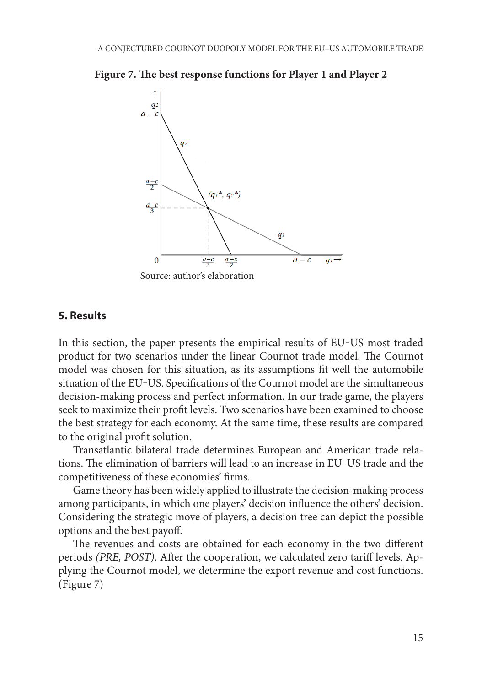



#### **5. Results**

In this section, the paper presents the empirical results of EU‒US most traded In this section, the paper presents the empirical results of EU‒US most traded product for two scenarios under the linear Cournot trade model. The Cournot product for two scenarios under the linear Cournot trade model. The Cournot model model was chosen for this situation, as its assumptions fit well the automobile situation of the EU-US. Specifications of the Cournot model are the simultaneous decision-making process and perfect information. In our trade game, the players seek to maximize their profit levels. Two scenarios have been examined to choose the best strategy for each economy. At the same time, these results are compared the original profit solution.<br>The original profit solution.  $p_{\text{max}}$  process and perfect information. In our trade game, the players

ne original profit solution.<br>Transatlantic bilateral trade determines European and American trade relations. The elimination of barriers will lead to an increase in EU-US trade and the competitiveness of these economies' firms. isauanue bhateral trade

Game theory has been widely applied to illustrate the decision-making process among participants, in which one players' decision influence the others' decision. Considering the strategic move of players, a decision tree can depict the possible  $\alpha$ options and the best payoff. The cheory has been which applied to mustrate the decision-making process

*Fig. 3* The revenues and costs are obtained for each economy in the two different periods *(PRE, POST)*. After the cooperation, we calculated zero tariff levels. Applying the Cournot model, we determine the export revenue and cost functions. (Figure 7) revenues and costs are obtained for each economy in the two different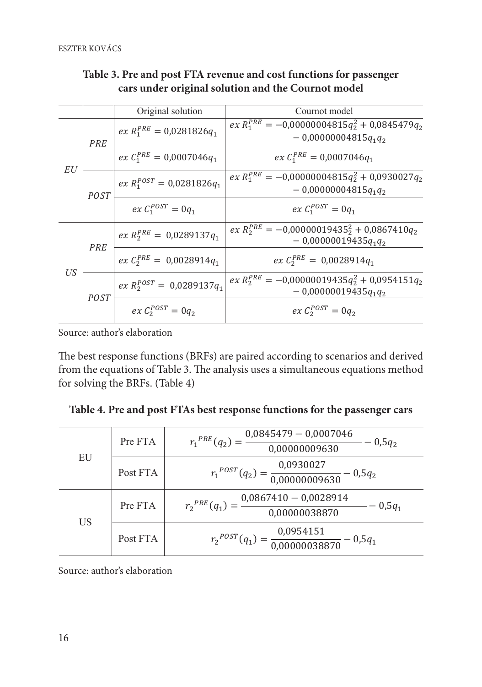|    |             | Original solution              | Cournot model                                                                 |
|----|-------------|--------------------------------|-------------------------------------------------------------------------------|
| EU | PRE         | $ex R_1^{PRE} = 0.0281826q_1$  | $ex R_1^{PRE} = -0.00000004815q_2^2 + 0.0845479q_2$<br>$-0,00000004815q_1q_2$ |
|    |             | $ex C_1^{PRE} = 0.0007046q_1$  | $ex C_1^{PRE} = 0,0007046q_1$                                                 |
|    | <b>POST</b> | $ex R_1^{POST} = 0.0281826q_1$ | $ex R_1^{PRE} = -0.00000004815q_2^2 + 0.0930027q_2$<br>$-0.00000004815q_1q_2$ |
|    |             | $ex C_1^{POST} = 0q_1$         | $ex C_1^{POST} = 0a_1$                                                        |
| US | PRE         | $ex R_2^{PRE} = 0.0289137q_1$  | $ex R_2^{PRE} = -0.00000019435_2^2 + 0.0867410q_2$<br>$-0,00000019435q_1q_2$  |
|    |             | $ex C_2^{PRE} = 0.0028914q_1$  | $ex C_2^{PRE} = 0.0028914q_1$                                                 |
|    | <b>POST</b> | $ex R_2^{POST} = 0.0289137q_1$ | $ex R_2^{PRE} = -0.00000019435q_2^2 + 0.0954151q_2$<br>$-0,00000019435q_1q_2$ |
|    |             | $ex C_2^{POST} = 0q_2$         | $ex C_2^{POST} = 0q_2$                                                        |

#### **Table 3. Pre and post FTA revenue and cost functions for passenger Table 3. Pre and post FTA revenue and cost functions for passenger cars under cars under original solution and the Cournot model original solution and the Cournot model**  $\frac{1}{2}$ Pre and post FTA revenue and cost functions for passenger als under original solution and the Cournot model

Source: author's elaboration *Source: author's elaboration*

The best response functions (BRFs) are paired according to scenarios and derived from the equations of Table 3. The analysis uses a simultaneous equations method for solving the BRFs. (Table 4)  $\mathbf{f}$  the equations of Table 3. The analysis uses a simultaneous equations method for  $\mathbf{f}$ The best response functions

| EU | Pre FTA  | $r_1^{PRE}(q_2) = \frac{0.0845479 - 0.0007046}{0.00000009630} - 0.5q_2$ |
|----|----------|-------------------------------------------------------------------------|
|    | Post FTA | $r_1^{POST}(q_2) = \frac{0.0930027}{0.00000009630} - 0.5q_2$            |
| US | Pre FTA  | $r_2^{PRE}(q_1) = \frac{0.0867410 - 0.0028914}{0.00000038870} - 0.5q_1$ |
|    | Post FTA | $r_2^{POST}(q_1) = \frac{0.0954151}{0.00000038870} - 0.5q_1$            |

Source: author's elaboration Post FTA 2 *Source: author's elaboration*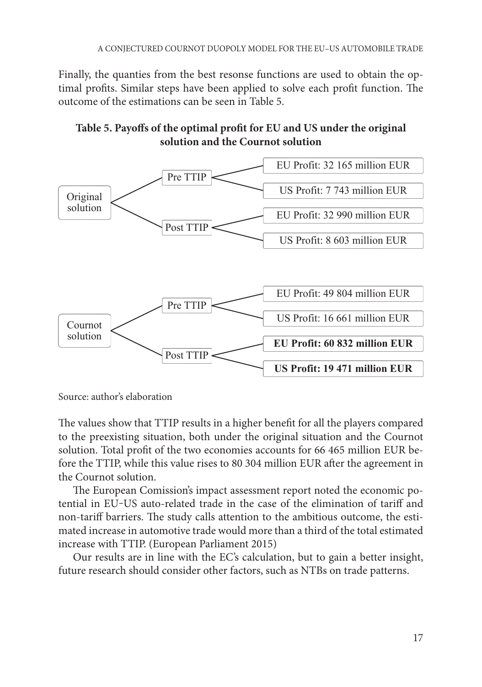Finally, the quanties from the best resonse functions are used to obtain the optimal profits. Similar steps have been applied to solve each profit function. The outcome of the estimations can be seen in Table 5.





Source: author's elaboration

The values show that TTIP results in a higher benefit for all the players compared to the preexisting situation, both under the original situation and the Cournot solution. Total profit of the two economies accounts for 66 465 million EUR before the TTIP, while this value rises to 80 304 million EUR after the agreement in the Cournot solution.

The European Comission's impact assessment report noted the economic potential in EU-US auto-related trade in the case of the elimination of tariff and non-tariff barriers. The study calls attention to the ambitious outcome, the estimore tarm barriers. The state east attention to the ambitroas battering, the estimated increase in automotive trade would more than a third of the total estimated inated increase in automotive trade would more than a time of the total estimated increase with TTIP. (European Parliament 2015) barriers with the study calls at the ambitious outcome, the ambitious outcome, the estimated increase increase increase increase in  $\sim$ 

Our results are in line with the EC's calculation, but to gain a better insight, future research should consider other factors, such as NTBs on trade patterns.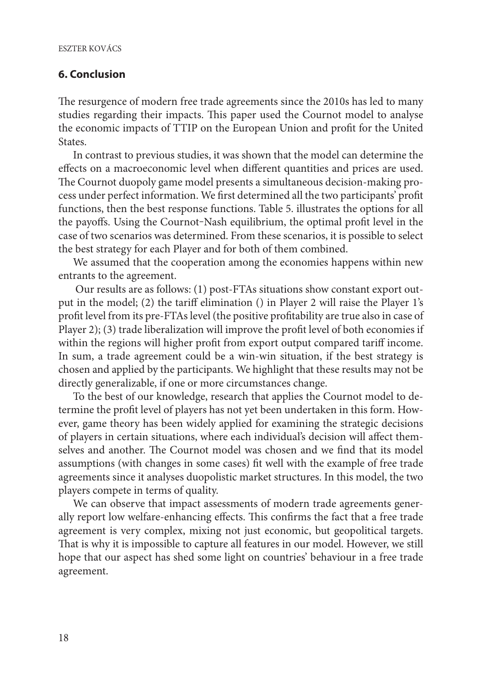#### **6. Conclusion**

The resurgence of modern free trade agreements since the 2010s has led to many studies regarding their impacts. This paper used the Cournot model to analyse the economic impacts of TTIP on the European Union and profit for the United States.

In contrast to previous studies, it was shown that the model can determine the effects on a macroeconomic level when different quantities and prices are used. The Cournot duopoly game model presents a simultaneous decision-making process under perfect information. We first determined all the two participants' profit functions, then the best response functions. Table 5. illustrates the options for all the payoffs. Using the Cournot-Nash equilibrium, the optimal profit level in the case of two scenarios was determined. From these scenarios, it is possible to select the best strategy for each Player and for both of them combined.

We assumed that the cooperation among the economies happens within new entrants to the agreement.

 Our results are as follows: (1) post-FTAs situations show constant export output in the model; (2) the tariff elimination () in Player 2 will raise the Player 1's profit level from its pre-FTAs level (the positive profitability are true also in case of Player 2); (3) trade liberalization will improve the profit level of both economies if within the regions will higher profit from export output compared tariff income. In sum, a trade agreement could be a win-win situation, if the best strategy is chosen and applied by the participants. We highlight that these results may not be directly generalizable, if one or more circumstances change.

To the best of our knowledge, research that applies the Cournot model to determine the profit level of players has not yet been undertaken in this form. However, game theory has been widely applied for examining the strategic decisions of players in certain situations, where each individual's decision will affect themselves and another. The Cournot model was chosen and we find that its model assumptions (with changes in some cases) fit well with the example of free trade agreements since it analyses duopolistic market structures. In this model, the two players compete in terms of quality.

We can observe that impact assessments of modern trade agreements generally report low welfare-enhancing effects. This confirms the fact that a free trade agreement is very complex, mixing not just economic, but geopolitical targets. That is why it is impossible to capture all features in our model. However, we still hope that our aspect has shed some light on countries' behaviour in a free trade agreement.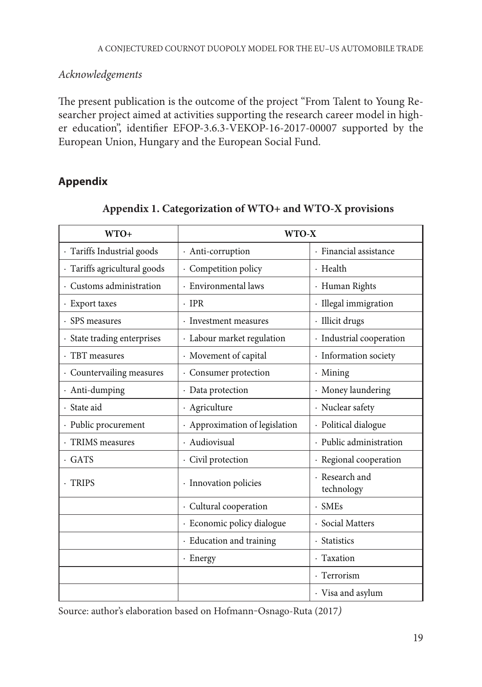*Acknowledgements*

The present publication is the outcome of the project "From Talent to Young Researcher project aimed at activities supporting the research career model in higher education", identifier EFOP-3.6.3-VEKOP-16-2017-00007 supported by the European Union, Hungary and the European Social Fund.

## **Appendix**

| $WTO+$                       | WTO-X                          |                              |  |
|------------------------------|--------------------------------|------------------------------|--|
| · Tariffs Industrial goods   | · Anti-corruption              | · Financial assistance       |  |
| · Tariffs agricultural goods | · Competition policy           | · Health                     |  |
| · Customs administration     | · Environmental laws           | · Human Rights               |  |
| · Export taxes               | $\cdot$ TPR                    | · Illegal immigration        |  |
| · SPS measures               | · Investment measures          | · Illicit drugs              |  |
| · State trading enterprises  | · Labour market regulation     | · Industrial cooperation     |  |
| · TBT measures               | · Movement of capital          | · Information society        |  |
| · Countervailing measures    | · Consumer protection          | $\cdot$ Mining               |  |
| · Anti-dumping               | · Data protection              | · Money laundering           |  |
| · State aid                  | · Agriculture                  | · Nuclear safety             |  |
| · Public procurement         | · Approximation of legislation | · Political dialogue         |  |
| · TRIMS measures             | · Audiovisual                  | · Public administration      |  |
| $\cdot$ GATS                 | · Civil protection             | · Regional cooperation       |  |
| · TRIPS                      | · Innovation policies          | · Research and<br>technology |  |
|                              | · Cultural cooperation         | $-SMEs$                      |  |
|                              | · Economic policy dialogue     | · Social Matters             |  |
|                              | · Education and training       | · Statistics                 |  |
|                              | · Energy                       | · Taxation                   |  |
|                              |                                | · Terrorism                  |  |
|                              |                                | · Visa and asylum            |  |

## **Appendix 1. Categorization of WTO+ and WTO-X provisions**

Source: author's elaboration based on Hofmann-Osnago-Ruta (2017)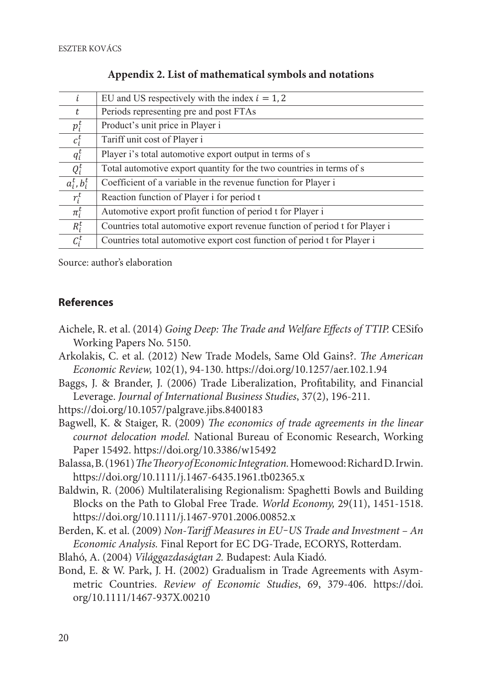| i.             | EU and US respectively with the index $i = 1, 2$                            |
|----------------|-----------------------------------------------------------------------------|
| t              | Periods representing pre and post FTAs                                      |
| $p_i^t$        | Product's unit price in Player i                                            |
| $c_i^t$        | Tariff unit cost of Player i                                                |
| $q_i^t$        | Player i's total automotive export output in terms of s                     |
| $Q_i^t$        | Total automotive export quantity for the two countries in terms of s        |
| $a_i^t, b_i^t$ | Coefficient of a variable in the revenue function for Player i              |
| $r_i^t$        | Reaction function of Player i for period t                                  |
| $\pi_i^t$      | Automotive export profit function of period t for Player i                  |
| $R_i^t$        | Countries total automotive export revenue function of period t for Player i |
| $C_i^t$        | Countries total automotive export cost function of period t for Player i    |

**Appendix 2. List of mathematical symbols and notations Appendix 2. List of mathematical symbols and notations**

Source: author's elaboration *Source: author's elaboration*

#### **References**

- Aichele, R. et al. (2014) *Going Deep: The Trade and Welfare Effects of TTIP.* CESifo Working Papers No. 5150.
- Arkolakis, C. et al. (2012) New Trade Models, Same Old Gains?. *The American Economic Review,* 102(1), 94-130. https://doi.org/10.1257/aer.102.1.94
- Baggs, J. & Brander, J. (2006) Trade Liberalization, Profitability, and Financial Leverage. *Journal of International Business Studies*, 37(2), 196-211.

https://doi.org/10.1057/palgrave.jibs.8400183

- Bagwell, K. & Staiger, R. (2009) *The economics of trade agreements in the linear cournot delocation model.* National Bureau of Economic Research, Working Paper 15492. https://doi.org/10.3386/w15492
- Balassa, B. (1961) *The Theory of Economic Integration.* Homewood: Richard D. Irwin. https://doi.org/10.1111/j.1467-6435.1961.tb02365.x
- Baldwin, R. (2006) Multilateralising Regionalism: Spaghetti Bowls and Building Blocks on the Path to Global Free Trade. *World Economy,* 29(11), 1451-1518. https://doi.org/10.1111/j.1467-9701.2006.00852.x
- Berden, K. et al. (2009) *Non-Tariff Measures in EU-US Trade and Investment An Economic Analysis.* Final Report for EC DG-Trade, ECORYS, Rotterdam.
- Blahó, A. (2004) *Világgazdaságtan 2.* Budapest: Aula Kiadó.
- Bond, E. & W. Park, J. H. (2002) Gradualism in Trade Agreements with Asymmetric Countries. *Review of Economic Studies*, 69, 379-406. https://doi. org/10.1111/1467-937X.00210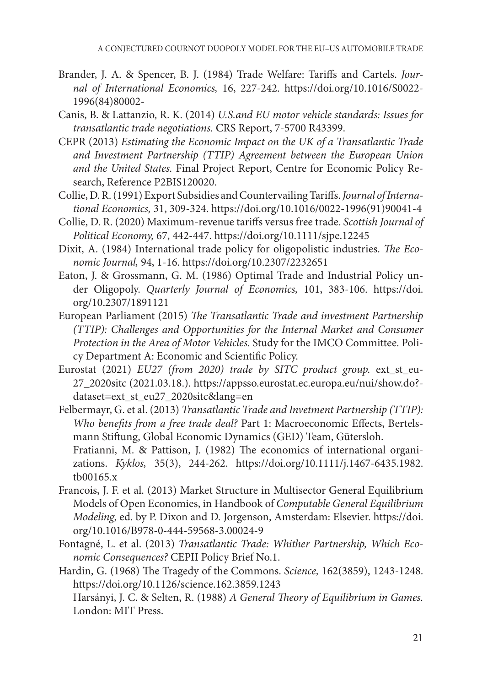- Brander, J. A. & Spencer, B. J. (1984) Trade Welfare: Tariffs and Cartels. *Journal of International Economics,* 16, 227-242. https://doi.org/10.1016/S0022- 1996(84)80002-
- Canis, B. & Lattanzio, R. K. (2014) *U.S.and EU motor vehicle standards: Issues for transatlantic trade negotiations.* CRS Report, 7-5700 R43399.
- CEPR (2013) *Estimating the Economic Impact on the UK of a Transatlantic Trade and Investment Partnership (TTIP) Agreement between the European Union and the United States.* Final Project Report, Centre for Economic Policy Research, Reference P2BIS120020.
- Collie, D. R. (1991) Export Subsidies and Countervailing Tariffs. *Journal of International Economics,* 31, 309-324. https://doi.org/10.1016/0022-1996(91)90041-4
- Collie, D. R. (2020) Maximum-revenue tariffs versus free trade. *Scottish Journal of Political Economy,* 67, 442-447. https://doi.org/10.1111/sjpe.12245
- Dixit, A. (1984) International trade policy for oligopolistic industries. *The Economic Journal,* 94, 1-16. https://doi.org/10.2307/2232651
- Eaton, J. & Grossmann, G. M. (1986) Optimal Trade and Industrial Policy under Oligopoly. *Quarterly Journal of Economics,* 101, 383-106. https://doi. org/10.2307/1891121
- European Parliament (2015) *The Transatlantic Trade and investment Partnership (TTIP): Challenges and Opportunities for the Internal Market and Consumer Protection in the Area of Motor Vehicles.* Study for the IMCO Committee. Policy Department A: Economic and Scientific Policy.
- Eurostat (2021) *EU27 (from 2020) trade by SITC product group.* ext\_st\_eu-27\_2020sitc (2021.03.18.). https://appsso.eurostat.ec.europa.eu/nui/show.do? dataset=ext\_st\_eu27\_2020sitc&lang=en
- Felbermayr, G. et al. (2013) *Transatlantic Trade and Invetment Partnership (TTIP): Who benefits from a free trade deal?* Part 1: Macroeconomic Effects, Bertelsmann Stiftung, Global Economic Dynamics (GED) Team, Gütersloh. Fratianni, M. & Pattison, J. (1982) The economics of international organizations. *Kyklos,* 35(3), 244-262. https://doi.org/10.1111/j.1467-6435.1982. tb00165.x
- Francois, J. F. et al. (2013) Market Structure in Multisector General Equilibrium Models of Open Economies, in Handbook of *Computable General Equilibrium Modeling*, ed. by P. Dixon and D. Jorgenson, Amsterdam: Elsevier. https://doi. org/10.1016/B978-0-444-59568-3.00024-9
- Fontagné, L. et al. (2013) *Transatlantic Trade: Whither Partnership, Which Economic Consequences?* CEPII Policy Brief No.1.
- Hardin, G. (1968) The Tragedy of the Commons. *Science,* 162(3859), 1243-1248. https://doi.org/10.1126/science.162.3859.1243 Harsányi, J. C. & Selten, R. (1988) *A General Theory of Equilibrium in Games.* London: MIT Press.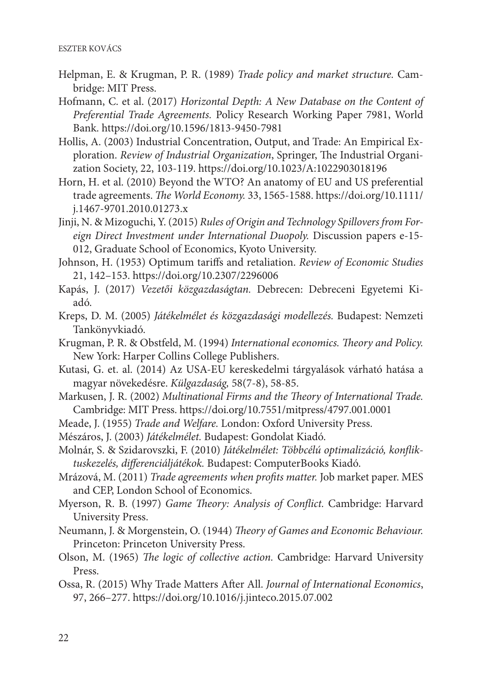- Helpman, E. & Krugman, P. R. (1989) *Trade policy and market structure.* Cambridge: MIT Press.
- Hofmann, C. et al. (2017) *Horizontal Depth: A New Database on the Content of Preferential Trade Agreements.* Policy Research Working Paper 7981, World Bank. https://doi.org/10.1596/1813-9450-7981
- Hollis, A. (2003) Industrial Concentration, Output, and Trade: An Empirical Exploration. *Review of Industrial Organization*, Springer, The Industrial Organization Society, 22, 103-119. https://doi.org/10.1023/A:1022903018196
- Horn, H. et al. (2010) Beyond the WTO? An anatomy of EU and US preferential trade agreements. *The World Economy.* 33, 1565-1588. https://doi.org/10.1111/ j.1467-9701.2010.01273.x
- Jinji, N. & Mizoguchi, Y. (2015) *Rules of Origin and Technology Spillovers from Foreign Direct Investment under International Duopoly.* Discussion papers e-15- 012, Graduate School of Economics, Kyoto University.
- Johnson, H. (1953) Optimum tariffs and retaliation. *Review of Economic Studies* 21, 142–153. https://doi.org/10.2307/2296006
- Kapás, J. (2017) *Vezetői közgazdaságtan.* Debrecen: Debreceni Egyetemi Kiadó.
- Kreps, D. M. (2005) *Játékelmélet és közgazdasági modellezés.* Budapest: Nemzeti Tankönyvkiadó.
- Krugman, P. R. & Obstfeld, M. (1994) *International economics. Theory and Policy.* New York: Harper Collins College Publishers.
- Kutasi, G. et. al. (2014) Az USA-EU kereskedelmi tárgyalások várható hatása a magyar növekedésre. *Külgazdaság,* 58(7-8), 58-85.
- Markusen, J. R. (2002) *Multinational Firms and the Theory of International Trade.* Cambridge: MIT Press. https://doi.org/10.7551/mitpress/4797.001.0001
- Meade, J. (1955) *Trade and Welfare.* London: Oxford University Press.
- Mészáros, J. (2003) *Játékelmélet.* Budapest: Gondolat Kiadó.
- Molnár, S. & Szidarovszki, F. (2010) *Játékelmélet: Többcélú optimalizáció, konfliktuskezelés, differenciáljátékok.* Budapest: ComputerBooks Kiadó.
- Mrázová, M. (2011) *Trade agreements when profits matter.* Job market paper. MES and CEP, London School of Economics.
- Myerson, R. B. (1997) *Game Theory: Analysis of Conflict.* Cambridge: Harvard University Press.
- Neumann, J. & Morgenstein, O. (1944) *Theory of Games and Economic Behaviour.* Princeton: Princeton University Press.
- Olson, M. (1965) *The logic of collective action.* Cambridge: Harvard University Press.
- Ossa, R. (2015) Why Trade Matters After All. *Journal of International Economics*, 97, 266–277. https://doi.org/10.1016/j.jinteco.2015.07.002